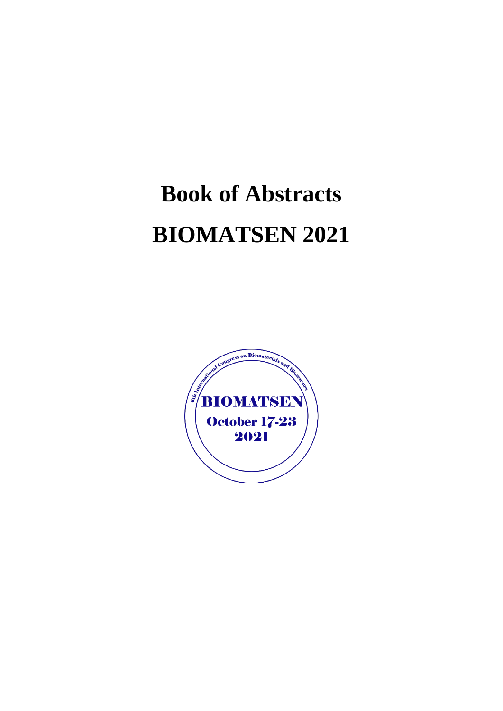# **Book of Abstracts BIOMATSEN 2021**

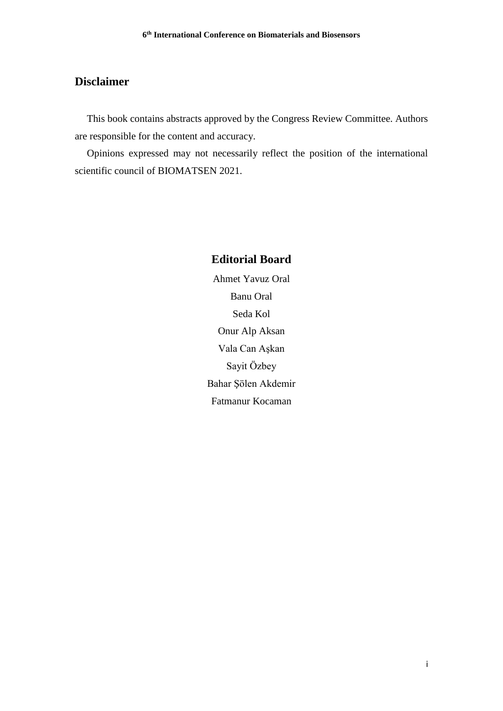## **Disclaimer**

This book contains abstracts approved by the Congress Review Committee. Authors are responsible for the content and accuracy.

Opinions expressed may not necessarily reflect the position of the international scientific council of BIOMATSEN 2021.

# **Editorial Board**

Ahmet Yavuz Oral Banu Oral Seda Kol Onur Alp Aksan Vala Can Aşkan Sayit Özbey Bahar Şölen Akdemir Fatmanur Kocaman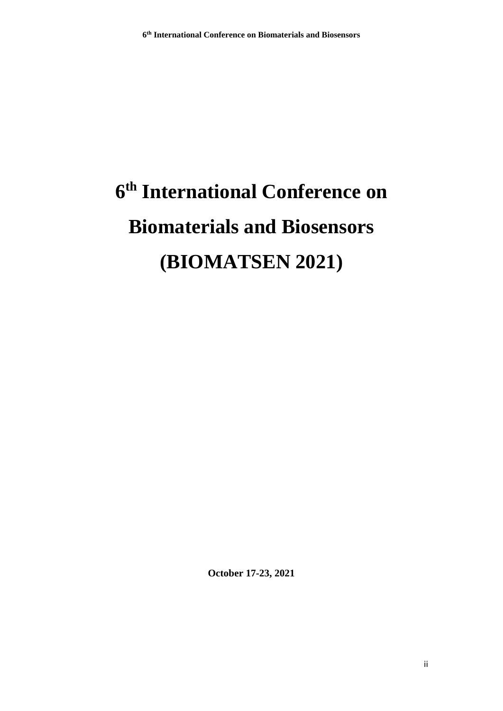# **6 th International Conference on Biomaterials and Biosensors (BIOMATSEN 2021)**

**October 17-23, 2021**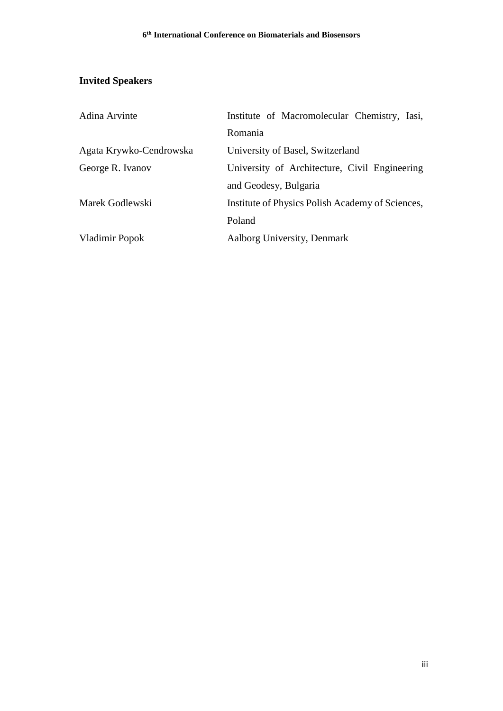# **Invited Speakers**

| Adina Arvinte           | Institute of Macromolecular Chemistry, Iasi,     |
|-------------------------|--------------------------------------------------|
|                         | Romania                                          |
| Agata Krywko-Cendrowska | University of Basel, Switzerland                 |
| George R. Ivanov        | University of Architecture, Civil Engineering    |
|                         | and Geodesy, Bulgaria                            |
| Marek Godlewski         | Institute of Physics Polish Academy of Sciences, |
|                         | Poland                                           |
| Vladimir Popok          | Aalborg University, Denmark                      |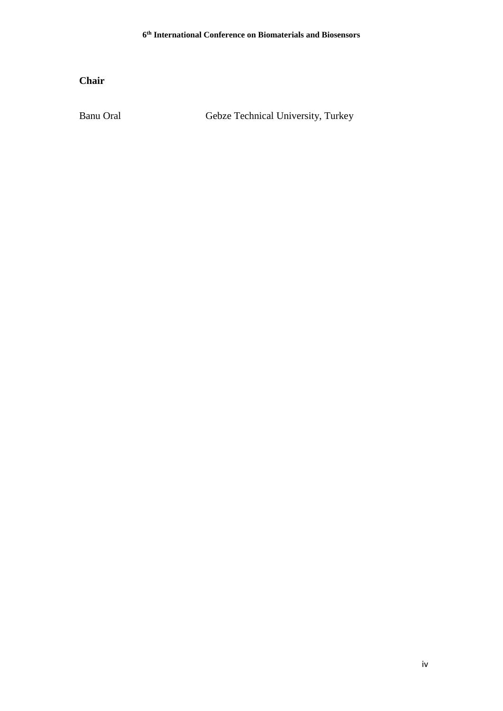**Chair**

Banu Oral Gebze Technical University, Turkey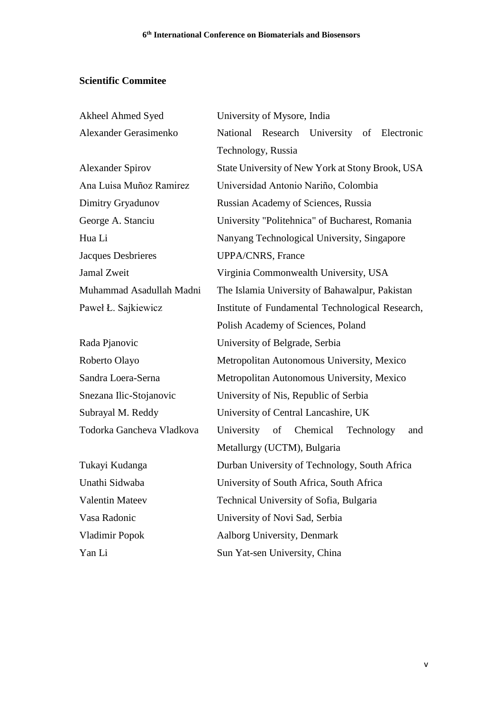# **Scientific Commitee**

| Akheel Ahmed Syed         | University of Mysore, India                       |
|---------------------------|---------------------------------------------------|
| Alexander Gerasimenko     | National Research University of Electronic        |
|                           | Technology, Russia                                |
| <b>Alexander Spirov</b>   | State University of New York at Stony Brook, USA  |
| Ana Luisa Muñoz Ramirez   | Universidad Antonio Nariño, Colombia              |
| Dimitry Gryadunov         | Russian Academy of Sciences, Russia               |
| George A. Stanciu         | University "Politehnica" of Bucharest, Romania    |
| Hua Li                    | Nanyang Technological University, Singapore       |
| Jacques Desbrieres        | UPPA/CNRS, France                                 |
| <b>Jamal Zweit</b>        | Virginia Commonwealth University, USA             |
| Muhammad Asadullah Madni  | The Islamia University of Bahawalpur, Pakistan    |
| Paweł Ł. Sajkiewicz       | Institute of Fundamental Technological Research,  |
|                           | Polish Academy of Sciences, Poland                |
| Rada Pjanovic             | University of Belgrade, Serbia                    |
| Roberto Olayo             | Metropolitan Autonomous University, Mexico        |
| Sandra Loera-Serna        | Metropolitan Autonomous University, Mexico        |
| Snezana Ilic-Stojanovic   | University of Nis, Republic of Serbia             |
| Subrayal M. Reddy         | University of Central Lancashire, UK              |
| Todorka Gancheva Vladkova | Chemical<br>University<br>Technology<br>of<br>and |
|                           | Metallurgy (UCTM), Bulgaria                       |
| Tukayi Kudanga            | Durban University of Technology, South Africa     |
| Unathi Sidwaba            | University of South Africa, South Africa          |
| <b>Valentin Mateev</b>    | Technical University of Sofia, Bulgaria           |
| Vasa Radonic              | University of Novi Sad, Serbia                    |
| Vladimir Popok            | Aalborg University, Denmark                       |
| Yan Li                    | Sun Yat-sen University, China                     |

v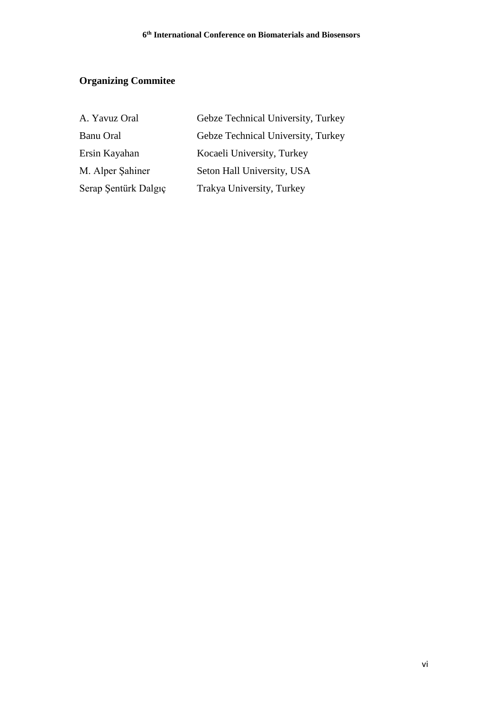# **Organizing Commitee**

| A. Yavuz Oral        | Gebze Technical University, Turkey |
|----------------------|------------------------------------|
| <b>Banu Oral</b>     | Gebze Technical University, Turkey |
| Ersin Kayahan        | Kocaeli University, Turkey         |
| M. Alper Sahiner     | Seton Hall University, USA         |
| Serap Şentürk Dalgıç | Trakya University, Turkey          |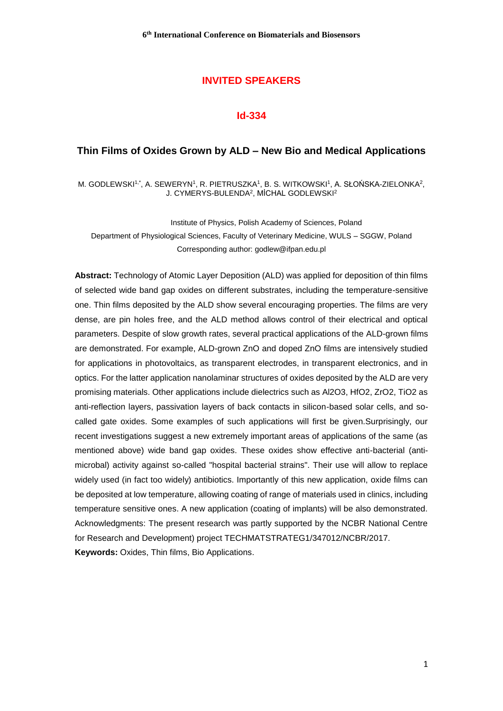## **INVITED SPEAKERS**

#### **Id-334**

#### **Thin Films of Oxides Grown by ALD – New Bio and Medical Applications**

M. GODLEWSKI1 $^{\text{t}}$ , A. SEWERYN', R. PIETRUSZKA', B. S. WITKOWSKI', A. SŁOŃSKA-ZIELONKA $^{\text{2}},$ J. CYMERYS-BULENDA<sup>2</sup> , MİCHAL GODLEWSKI<sup>2</sup>

Institute of Physics, Polish Academy of Sciences, Poland Department of Physiological Sciences, Faculty of Veterinary Medicine, WULS – SGGW, Poland Corresponding author: godlew@ifpan.edu.pl

**Abstract:** Technology of Atomic Layer Deposition (ALD) was applied for deposition of thin films of selected wide band gap oxides on different substrates, including the temperature-sensitive one. Thin films deposited by the ALD show several encouraging properties. The films are very dense, are pin holes free, and the ALD method allows control of their electrical and optical parameters. Despite of slow growth rates, several practical applications of the ALD-grown films are demonstrated. For example, ALD-grown ZnO and doped ZnO films are intensively studied for applications in photovoltaics, as transparent electrodes, in transparent electronics, and in optics. For the latter application nanolaminar structures of oxides deposited by the ALD are very promising materials. Other applications include dielectrics such as Al2O3, HfO2, ZrO2, TiO2 as anti-reflection layers, passivation layers of back contacts in silicon-based solar cells, and socalled gate oxides. Some examples of such applications will first be given.Surprisingly, our recent investigations suggest a new extremely important areas of applications of the same (as mentioned above) wide band gap oxides. These oxides show effective anti-bacterial (antimicrobal) activity against so-called "hospital bacterial strains". Their use will allow to replace widely used (in fact too widely) antibiotics. Importantly of this new application, oxide films can be deposited at low temperature, allowing coating of range of materials used in clinics, including temperature sensitive ones. A new application (coating of implants) will be also demonstrated. Acknowledgments: The present research was partly supported by the NCBR National Centre for Research and Development) project TECHMATSTRATEG1/347012/NCBR/2017. **Keywords:** Oxides, Thin films, Bio Applications.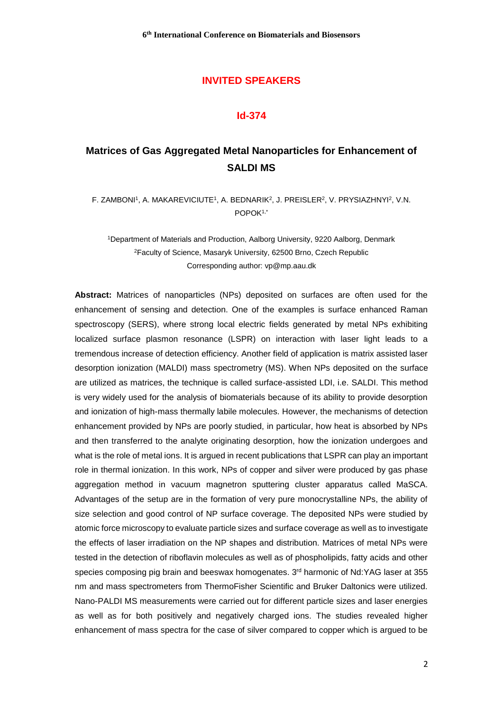## **INVITED SPEAKERS**

#### **Id-374**

# **Matrices of Gas Aggregated Metal Nanoparticles for Enhancement of SALDI MS**

F. ZAMBONI<sup>1</sup>, A. MAKAREVICIUTE<sup>1</sup>, A. BEDNARIK<sup>2</sup>, J. PREISLER<sup>2</sup>, V. PRYSIAZHNYI<sup>2</sup>, V.N. POPOK1,\*

<sup>1</sup>Department of Materials and Production, Aalborg University, 9220 Aalborg, Denmark <sup>2</sup>Faculty of Science, Masaryk University, 62500 Brno, Czech Republic Corresponding author: vp@mp.aau.dk

**Abstract:** Matrices of nanoparticles (NPs) deposited on surfaces are often used for the enhancement of sensing and detection. One of the examples is surface enhanced Raman spectroscopy (SERS), where strong local electric fields generated by metal NPs exhibiting localized surface plasmon resonance (LSPR) on interaction with laser light leads to a tremendous increase of detection efficiency. Another field of application is matrix assisted laser desorption ionization (MALDI) mass spectrometry (MS). When NPs deposited on the surface are utilized as matrices, the technique is called surface-assisted LDI, i.e. SALDI. This method is very widely used for the analysis of biomaterials because of its ability to provide desorption and ionization of high-mass thermally labile molecules. However, the mechanisms of detection enhancement provided by NPs are poorly studied, in particular, how heat is absorbed by NPs and then transferred to the analyte originating desorption, how the ionization undergoes and what is the role of metal ions. It is argued in recent publications that LSPR can play an important role in thermal ionization. In this work, NPs of copper and silver were produced by gas phase aggregation method in vacuum magnetron sputtering cluster apparatus called MaSCA. Advantages of the setup are in the formation of very pure monocrystalline NPs, the ability of size selection and good control of NP surface coverage. The deposited NPs were studied by atomic force microscopy to evaluate particle sizes and surface coverage as well as to investigate the effects of laser irradiation on the NP shapes and distribution. Matrices of metal NPs were tested in the detection of riboflavin molecules as well as of phospholipids, fatty acids and other species composing pig brain and beeswax homogenates. 3<sup>rd</sup> harmonic of Nd:YAG laser at 355 nm and mass spectrometers from ThermoFisher Scientific and Bruker Daltonics were utilized. Nano-PALDI MS measurements were carried out for different particle sizes and laser energies as well as for both positively and negatively charged ions. The studies revealed higher enhancement of mass spectra for the case of silver compared to copper which is argued to be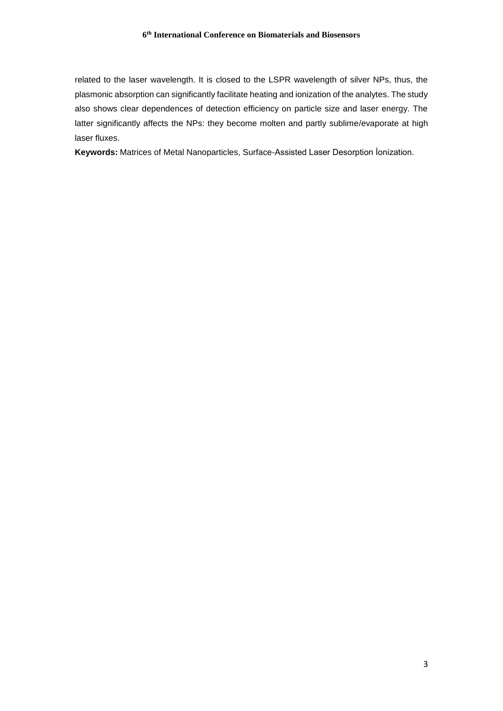related to the laser wavelength. It is closed to the LSPR wavelength of silver NPs, thus, the plasmonic absorption can significantly facilitate heating and ionization of the analytes. The study also shows clear dependences of detection efficiency on particle size and laser energy. The latter significantly affects the NPs: they become molten and partly sublime/evaporate at high laser fluxes.

**Keywords:** Matrices of Metal Nanoparticles, Surface-Assisted Laser Desorption İonization.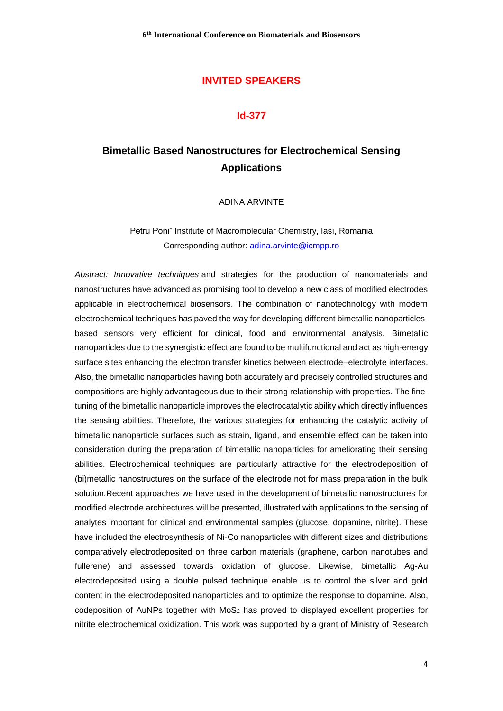## **INVITED SPEAKERS**

#### **Id-377**

# **Bimetallic Based Nanostructures for Electrochemical Sensing Applications**

ADINA ARVINTE

Petru Poni" Institute of Macromolecular Chemistry, Iasi, Romania Corresponding author: [adina.arvinte@icmpp.ro](mailto:adina.arvinte@icmpp.ro)

*Abstract: Innovative techniques* and strategies for the production of nanomaterials and nanostructures have advanced as promising tool to develop a new class of modified electrodes applicable in electrochemical biosensors. The combination of nanotechnology with modern electrochemical techniques has paved the way for developing different bimetallic nanoparticlesbased sensors very efficient for clinical, food and environmental analysis. Bimetallic nanoparticles due to the synergistic effect are found to be multifunctional and act as high-energy surface sites enhancing the electron transfer kinetics between electrode–electrolyte interfaces. Also, the bimetallic nanoparticles having both accurately and precisely controlled structures and compositions are highly advantageous due to their strong relationship with properties. The finetuning of the bimetallic nanoparticle improves the electrocatalytic ability which directly influences the sensing abilities. Therefore, the various strategies for enhancing the catalytic activity of bimetallic nanoparticle surfaces such as strain, ligand, and ensemble effect can be taken into consideration during the preparation of bimetallic nanoparticles for ameliorating their sensing abilities. Electrochemical techniques are particularly attractive for the electrodeposition of (bi)metallic nanostructures on the surface of the electrode not for mass preparation in the bulk solution.Recent approaches we have used in the development of bimetallic nanostructures for modified electrode architectures will be presented, illustrated with applications to the sensing of analytes important for clinical and environmental samples (glucose, dopamine, nitrite). These have included the electrosynthesis of Ni-Co nanoparticles with different sizes and distributions comparatively electrodeposited on three carbon materials (graphene, carbon nanotubes and fullerene) and assessed towards oxidation of glucose. Likewise, bimetallic Ag-Au electrodeposited using a double pulsed technique enable us to control the silver and gold content in the electrodeposited nanoparticles and to optimize the response to dopamine. Also, codeposition of AuNPs together with MoS<sub>2</sub> has proved to displayed excellent properties for nitrite electrochemical oxidization. This work was supported by a grant of Ministry of Research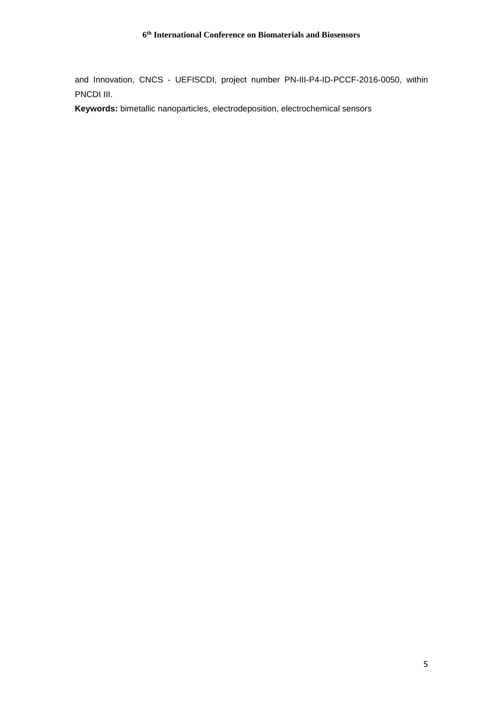and Innovation, CNCS - UEFISCDI, project number PN-III-P4-ID-PCCF-2016-0050, within PNCDI III.

**Keywords:** bimetallic nanoparticles, electrodeposition, electrochemical sensors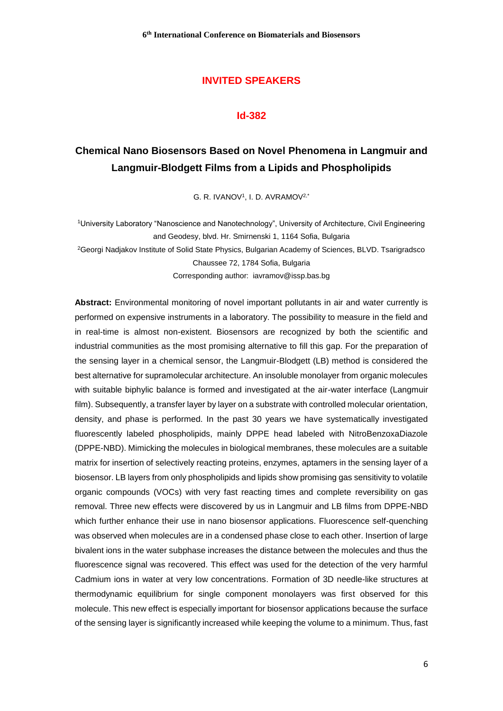## **INVITED SPEAKERS**

#### **Id-382**

# **Chemical Nano Biosensors Based on Novel Phenomena in Langmuir and Langmuir-Blodgett Films from a Lipids and Phospholipids**

G. R. IVANOV<sup>1</sup> , I. D. AVRAMOV2,\*

<sup>1</sup>University Laboratory "Nanoscience and Nanotechnology", University of Architecture, Civil Engineering and Geodesy, blvd. Hr. Smirnenski 1, 1164 Sofia, Bulgaria <sup>2</sup>Georgi Nadjakov Institute of Solid State Physics, Bulgarian Academy of Sciences, BLVD. Tsarigradsco Chaussee 72, 1784 Sofia, Bulgaria Corresponding author: iavramov@issp.bas.bg

**Abstract:** Environmental monitoring of novel important pollutants in air and water currently is performed on expensive instruments in a laboratory. The possibility to measure in the field and in real-time is almost non-existent. Biosensors are recognized by both the scientific and industrial communities as the most promising alternative to fill this gap. For the preparation of the sensing layer in a chemical sensor, the Langmuir-Blodgett (LB) method is considered the best alternative for supramolecular architecture. An insoluble monolayer from organic molecules with suitable biphylic balance is formed and investigated at the air-water interface (Langmuir film). Subsequently, a transfer layer by layer on a substrate with controlled molecular orientation, density, and phase is performed. In the past 30 years we have systematically investigated fluorescently labeled phospholipids, mainly DPPE head labeled with NitroBenzoxaDiazole (DPPE-NBD). Mimicking the molecules in biological membranes, these molecules are a suitable matrix for insertion of selectively reacting proteins, enzymes, aptamers in the sensing layer of a biosensor. LB layers from only phospholipids and lipids show promising gas sensitivity to volatile organic compounds (VOCs) with very fast reacting times and complete reversibility on gas removal. Three new effects were discovered by us in Langmuir and LB films from DPPE-NBD which further enhance their use in nano biosensor applications. Fluorescence self-quenching was observed when molecules are in a condensed phase close to each other. Insertion of large bivalent ions in the water subphase increases the distance between the molecules and thus the fluorescence signal was recovered. This effect was used for the detection of the very harmful Cadmium ions in water at very low concentrations. Formation of 3D needle-like structures at thermodynamic equilibrium for single component monolayers was first observed for this molecule. This new effect is especially important for biosensor applications because the surface of the sensing layer is significantly increased while keeping the volume to a minimum. Thus, fast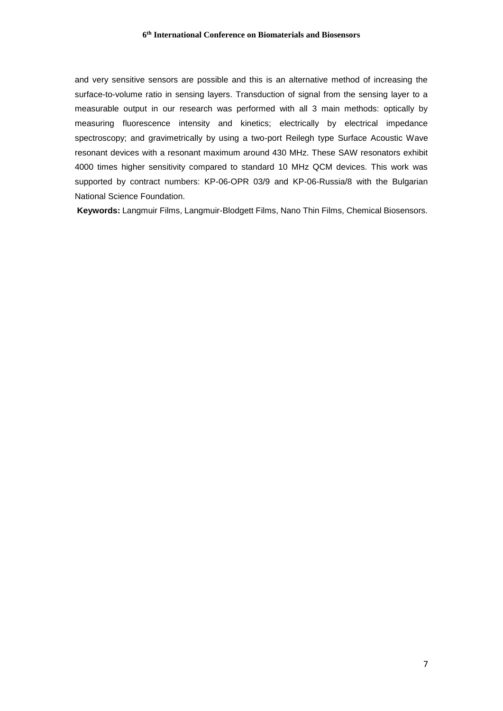and very sensitive sensors are possible and this is an alternative method of increasing the surface-to-volume ratio in sensing layers. Transduction of signal from the sensing layer to a measurable output in our research was performed with all 3 main methods: optically by measuring fluorescence intensity and kinetics; electrically by electrical impedance spectroscopy; and gravimetrically by using a two-port Reilegh type Surface Acoustic Wave resonant devices with a resonant maximum around 430 MHz. These SAW resonators exhibit 4000 times higher sensitivity compared to standard 10 MHz QCM devices. This work was supported by contract numbers: KP-06-OPR 03/9 and KP-06-Russia/8 with the Bulgarian National Science Foundation.

**Keywords:** Langmuir Films, Langmuir-Blodgett Films, Nano Thin Films, Chemical Biosensors.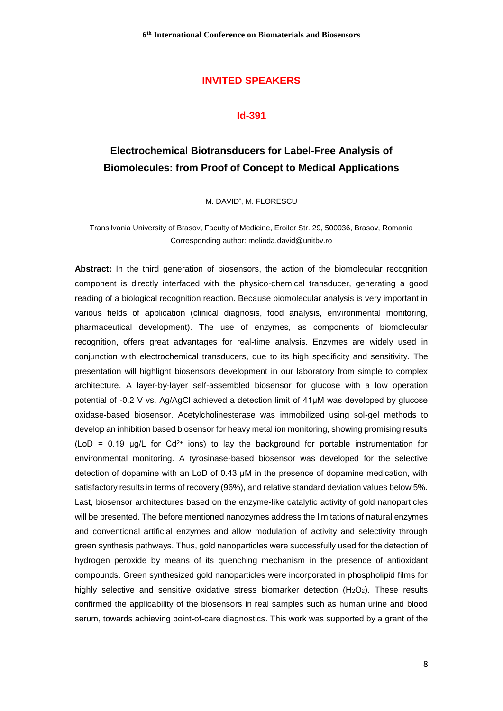## **INVITED SPEAKERS**

#### **Id-391**

# **Electrochemical Biotransducers for Label-Free Analysis of Biomolecules: from Proof of Concept to Medical Applications**

M. DAVID\* , M. FLORESCU

Transilvania University of Brasov, Faculty of Medicine, Eroilor Str. 29, 500036, Brasov, Romania Corresponding author: melinda.david@unitbv.ro

**Abstract:** In the third generation of biosensors, the action of the biomolecular recognition component is directly interfaced with the physico-chemical transducer, generating a good reading of a biological recognition reaction. Because biomolecular analysis is very important in various fields of application (clinical diagnosis, food analysis, environmental monitoring, pharmaceutical development). The use of enzymes, as components of biomolecular recognition, offers great advantages for real-time analysis. Enzymes are widely used in conjunction with electrochemical transducers, due to its high specificity and sensitivity. The presentation will highlight biosensors development in our laboratory from simple to complex architecture. A layer-by-layer self-assembled biosensor for glucose with a low operation potential of -0.2 V vs. Ag/AgCl achieved a detection limit of 41µM was developed by glucose oxidase-based biosensor. Acetylcholinesterase was immobilized using sol-gel methods to develop an inhibition based biosensor for heavy metal ion monitoring, showing promising results (LoD = 0.19  $\mu$ g/L for Cd<sup>2+</sup> ions) to lay the background for portable instrumentation for environmental monitoring. A tyrosinase-based biosensor was developed for the selective detection of dopamine with an LoD of 0.43 µM in the presence of dopamine medication, with satisfactory results in terms of recovery (96%), and relative standard deviation values below 5%. Last, biosensor architectures based on the enzyme-like catalytic activity of gold nanoparticles will be presented. The before mentioned nanozymes address the limitations of natural enzymes and conventional artificial enzymes and allow modulation of activity and selectivity through green synthesis pathways. Thus, gold nanoparticles were successfully used for the detection of hydrogen peroxide by means of its quenching mechanism in the presence of antioxidant compounds. Green synthesized gold nanoparticles were incorporated in phospholipid films for highly selective and sensitive oxidative stress biomarker detection  $(H_2O_2)$ . These results confirmed the applicability of the biosensors in real samples such as human urine and blood serum, towards achieving point-of-care diagnostics. This work was supported by a grant of the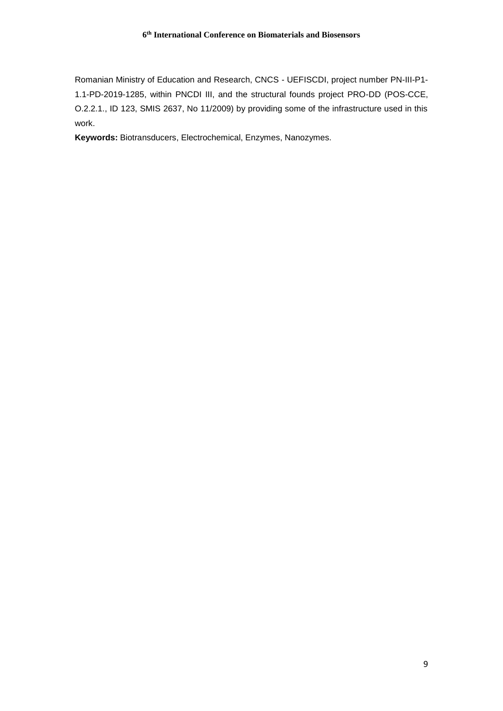Romanian Ministry of Education and Research, CNCS - UEFISCDI, project number PN-III-P1- 1.1-PD-2019-1285, within PNCDI III, and the structural founds project PRO-DD (POS-CCE, O.2.2.1., ID 123, SMIS 2637, No 11/2009) by providing some of the infrastructure used in this work.

**Keywords:** Biotransducers, Electrochemical, Enzymes, Nanozymes.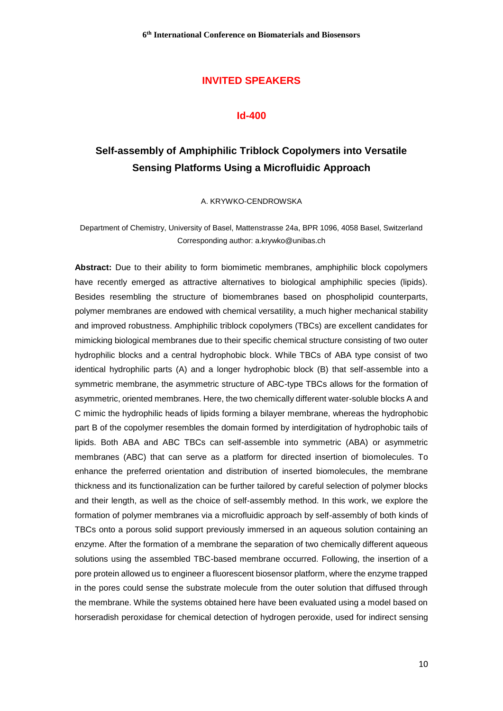## **INVITED SPEAKERS**

#### **Id-400**

# **Self-assembly of Amphiphilic Triblock Copolymers into Versatile Sensing Platforms Using a Microfluidic Approach**

A. KRYWKO-CENDROWSKA

Department of Chemistry, University of Basel, Mattenstrasse 24a, BPR 1096, 4058 Basel, Switzerland Corresponding author: a.krywko@unibas.ch

**Abstract:** Due to their ability to form biomimetic membranes, amphiphilic block copolymers have recently emerged as attractive alternatives to biological amphiphilic species (lipids). Besides resembling the structure of biomembranes based on phospholipid counterparts, polymer membranes are endowed with chemical versatility, a much higher mechanical stability and improved robustness. Amphiphilic triblock copolymers (TBCs) are excellent candidates for mimicking biological membranes due to their specific chemical structure consisting of two outer hydrophilic blocks and a central hydrophobic block. While TBCs of ABA type consist of two identical hydrophilic parts (A) and a longer hydrophobic block (B) that self-assemble into a symmetric membrane, the asymmetric structure of ABC-type TBCs allows for the formation of asymmetric, oriented membranes. Here, the two chemically different water-soluble blocks A and C mimic the hydrophilic heads of lipids forming a bilayer membrane, whereas the hydrophobic part B of the copolymer resembles the domain formed by interdigitation of hydrophobic tails of lipids. Both ABA and ABC TBCs can self-assemble into symmetric (ABA) or asymmetric membranes (ABC) that can serve as a platform for directed insertion of biomolecules. To enhance the preferred orientation and distribution of inserted biomolecules, the membrane thickness and its functionalization can be further tailored by careful selection of polymer blocks and their length, as well as the choice of self-assembly method. In this work, we explore the formation of polymer membranes via a microfluidic approach by self-assembly of both kinds of TBCs onto a porous solid support previously immersed in an aqueous solution containing an enzyme. After the formation of a membrane the separation of two chemically different aqueous solutions using the assembled TBC-based membrane occurred. Following, the insertion of a pore protein allowed us to engineer a fluorescent biosensor platform, where the enzyme trapped in the pores could sense the substrate molecule from the outer solution that diffused through the membrane. While the systems obtained here have been evaluated using a model based on horseradish peroxidase for chemical detection of hydrogen peroxide, used for indirect sensing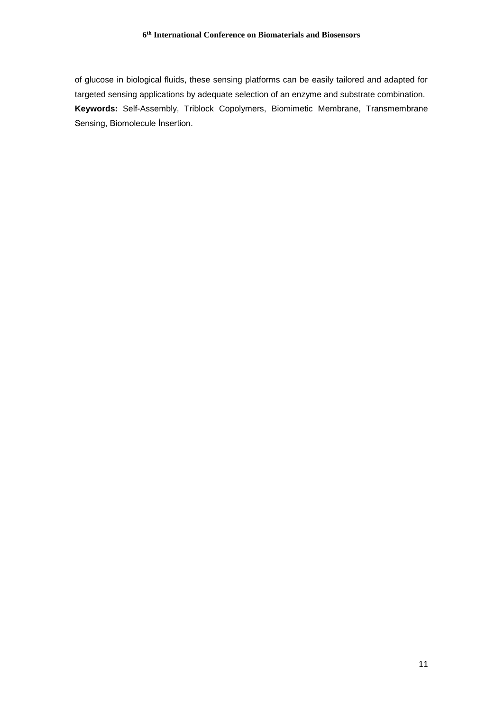of glucose in biological fluids, these sensing platforms can be easily tailored and adapted for targeted sensing applications by adequate selection of an enzyme and substrate combination. **Keywords:** Self-Assembly, Triblock Copolymers, Biomimetic Membrane, Transmembrane Sensing, Biomolecule İnsertion.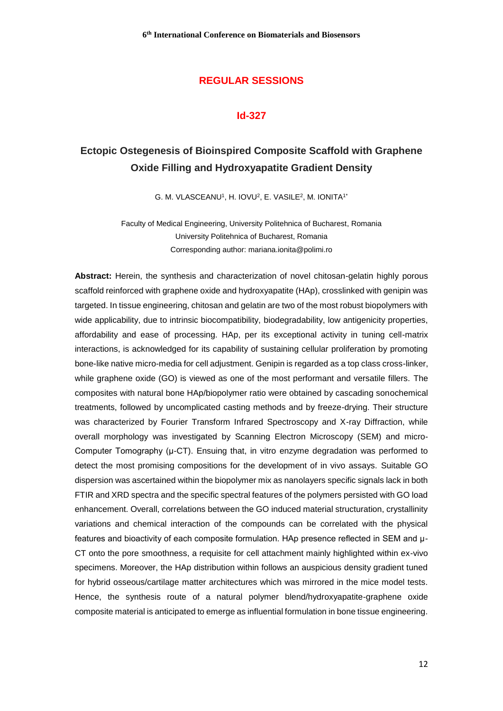## **REGULAR SESSIONS**

#### **Id-327**

# **Ectopic Ostegenesis of Bioinspired Composite Scaffold with Graphene Oxide Filling and Hydroxyapatite Gradient Density**

G. M. VLASCEANU<sup>1</sup>, H. IOVU<sup>2</sup>, E. VASILE<sup>2</sup>, M. IONITA<sup>1\*</sup>

Faculty of Medical Engineering, University Politehnica of Bucharest, Romania University Politehnica of Bucharest, Romania Corresponding author: mariana.ionita@polimi.ro

**Abstract:** Herein, the synthesis and characterization of novel chitosan-gelatin highly porous scaffold reinforced with graphene oxide and hydroxyapatite (HAp), crosslinked with genipin was targeted. In tissue engineering, chitosan and gelatin are two of the most robust biopolymers with wide applicability, due to intrinsic biocompatibility, biodegradability, low antigenicity properties, affordability and ease of processing. HAp, per its exceptional activity in tuning cell-matrix interactions, is acknowledged for its capability of sustaining cellular proliferation by promoting bone-like native micro-media for cell adjustment. Genipin is regarded as a top class cross-linker, while graphene oxide (GO) is viewed as one of the most performant and versatile fillers. The composites with natural bone HAp/biopolymer ratio were obtained by cascading sonochemical treatments, followed by uncomplicated casting methods and by freeze-drying. Their structure was characterized by Fourier Transform Infrared Spectroscopy and X-ray Diffraction, while overall morphology was investigated by Scanning Electron Microscopy (SEM) and micro-Computer Tomography (µ-CT). Ensuing that, in vitro enzyme degradation was performed to detect the most promising compositions for the development of in vivo assays. Suitable GO dispersion was ascertained within the biopolymer mix as nanolayers specific signals lack in both FTIR and XRD spectra and the specific spectral features of the polymers persisted with GO load enhancement. Overall, correlations between the GO induced material structuration, crystallinity variations and chemical interaction of the compounds can be correlated with the physical features and bioactivity of each composite formulation. HAp presence reflected in SEM and µ-CT onto the pore smoothness, a requisite for cell attachment mainly highlighted within ex-vivo specimens. Moreover, the HAp distribution within follows an auspicious density gradient tuned for hybrid osseous/cartilage matter architectures which was mirrored in the mice model tests. Hence, the synthesis route of a natural polymer blend/hydroxyapatite-graphene oxide composite material is anticipated to emerge as influential formulation in bone tissue engineering.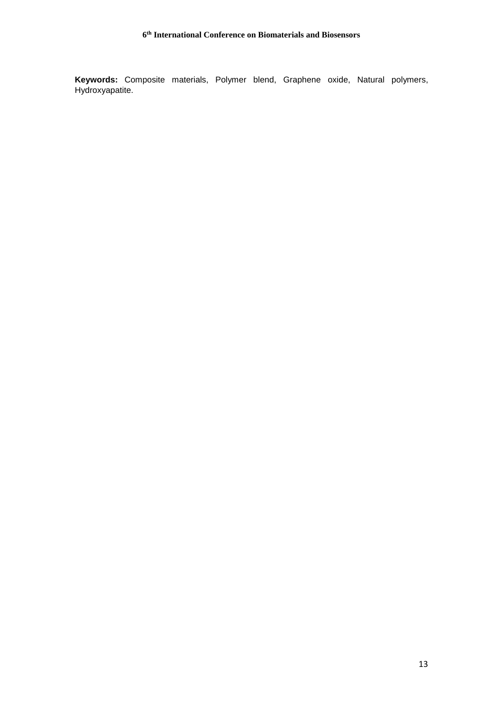**Keywords:** Composite materials, Polymer blend, Graphene oxide, Natural polymers, Hydroxyapatite.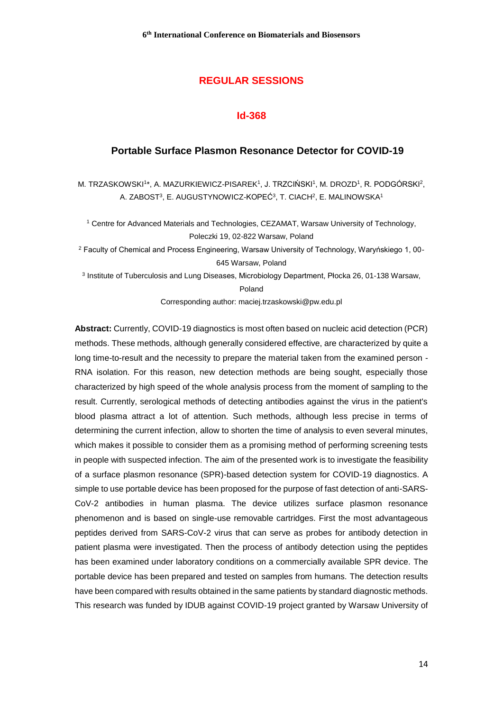## **REGULAR SESSIONS**

#### **Id-368**

#### **Portable Surface Plasmon Resonance Detector for COVID-19**

M. TRZASKOWSKI1\*, A. MAZURKIEWICZ-PISAREK1, J. TRZCIŃSKI1, M. DROZD1, R. PODGÓRSKI<sup>2</sup>, A. ZABOST<sup>3</sup>, E. AUGUSTYNOWICZ-KOPEĆ<sup>3</sup>, T. CIACH<sup>2</sup>, E. MALINOWSKA<sup>1</sup>

<sup>1</sup> Centre for Advanced Materials and Technologies, CEZAMAT, Warsaw University of Technology, Poleczki 19, 02-822 Warsaw, Poland

<sup>2</sup> Faculty of Chemical and Process Engineering, Warsaw University of Technology, Waryńskiego 1, 00- 645 Warsaw, Poland

<sup>3</sup> Institute of Tuberculosis and Lung Diseases, Microbiology Department, Płocka 26, 01-138 Warsaw, Poland

Corresponding author: maciej.trzaskowski@pw.edu.pl

**Abstract:** Currently, COVID-19 diagnostics is most often based on nucleic acid detection (PCR) methods. These methods, although generally considered effective, are characterized by quite a long time-to-result and the necessity to prepare the material taken from the examined person - RNA isolation. For this reason, new detection methods are being sought, especially those characterized by high speed of the whole analysis process from the moment of sampling to the result. Currently, serological methods of detecting antibodies against the virus in the patient's blood plasma attract a lot of attention. Such methods, although less precise in terms of determining the current infection, allow to shorten the time of analysis to even several minutes, which makes it possible to consider them as a promising method of performing screening tests in people with suspected infection. The aim of the presented work is to investigate the feasibility of a surface plasmon resonance (SPR)-based detection system for COVID-19 diagnostics. A simple to use portable device has been proposed for the purpose of fast detection of anti-SARS-CoV-2 antibodies in human plasma. The device utilizes surface plasmon resonance phenomenon and is based on single-use removable cartridges. First the most advantageous peptides derived from SARS-CoV-2 virus that can serve as probes for antibody detection in patient plasma were investigated. Then the process of antibody detection using the peptides has been examined under laboratory conditions on a commercially available SPR device. The portable device has been prepared and tested on samples from humans. The detection results have been compared with results obtained in the same patients by standard diagnostic methods. This research was funded by IDUB against COVID-19 project granted by Warsaw University of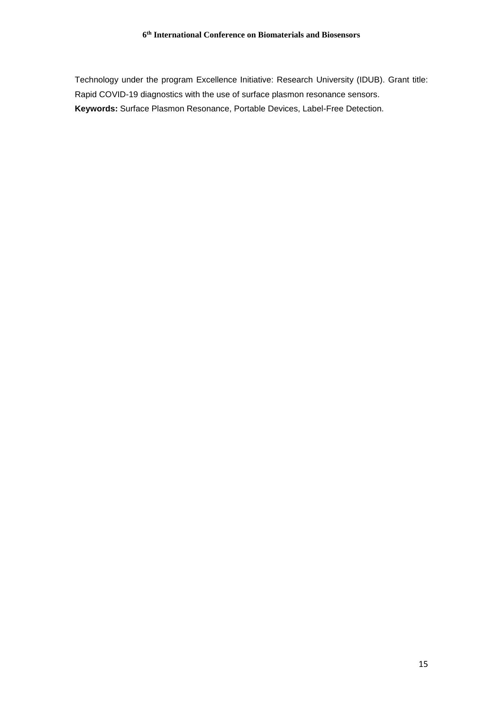Technology under the program Excellence Initiative: Research University (IDUB). Grant title: Rapid COVID-19 diagnostics with the use of surface plasmon resonance sensors. **Keywords:** Surface Plasmon Resonance, Portable Devices, Label-Free Detection.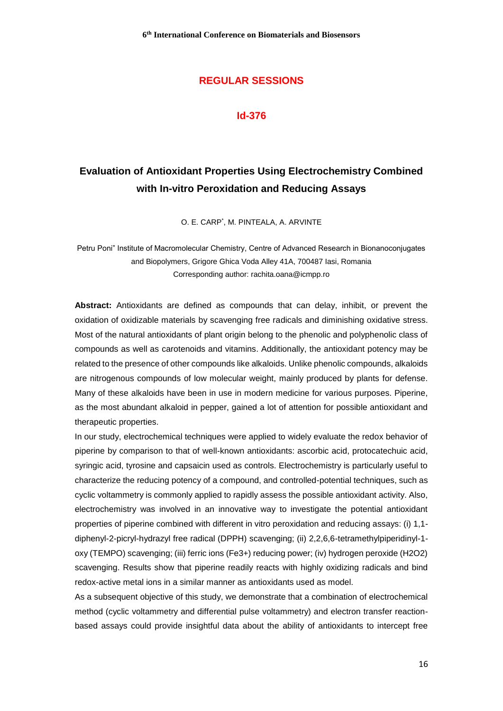## **REGULAR SESSIONS**

#### **Id-376**

# **Evaluation of Antioxidant Properties Using Electrochemistry Combined with In-vitro Peroxidation and Reducing Assays**

O. E. CARP\* , M. PINTEALA, A. ARVINTE

Petru Poni" Institute of Macromolecular Chemistry, Centre of Advanced Research in Bionanoconjugates and Biopolymers, Grigore Ghica Voda Alley 41A, 700487 Iasi, Romania Corresponding author: rachita.oana@icmpp.ro

**Abstract:** Antioxidants are defined as compounds that can delay, inhibit, or prevent the oxidation of oxidizable materials by scavenging free radicals and diminishing oxidative stress. Most of the natural antioxidants of plant origin belong to the phenolic and polyphenolic class of compounds as well as carotenoids and vitamins. Additionally, the antioxidant potency may be related to the presence of other compounds like alkaloids. Unlike phenolic compounds, alkaloids are nitrogenous compounds of low molecular weight, mainly produced by plants for defense. Many of these alkaloids have been in use in modern medicine for various purposes. Piperine, as the most abundant alkaloid in pepper, gained a lot of attention for possible antioxidant and therapeutic properties.

In our study, electrochemical techniques were applied to widely evaluate the redox behavior of piperine by comparison to that of well-known antioxidants: ascorbic acid, protocatechuic acid, syringic acid, tyrosine and capsaicin used as controls. Electrochemistry is particularly useful to characterize the reducing potency of a compound, and controlled-potential techniques, such as cyclic voltammetry is commonly applied to rapidly assess the possible antioxidant activity. Also, electrochemistry was involved in an innovative way to investigate the potential antioxidant properties of piperine combined with different in vitro peroxidation and reducing assays: (i) 1,1 diphenyl-2-picryl-hydrazyl free radical (DPPH) scavenging; (ii) 2,2,6,6-tetramethylpiperidinyl-1 oxy (TEMPO) scavenging; (iii) ferric ions (Fe3+) reducing power; (iv) hydrogen peroxide (H2O2) scavenging. Results show that piperine readily reacts with highly oxidizing radicals and bind redox-active metal ions in a similar manner as antioxidants used as model.

As a subsequent objective of this study, we demonstrate that a combination of electrochemical method (cyclic voltammetry and differential pulse voltammetry) and electron transfer reactionbased assays could provide insightful data about the ability of antioxidants to intercept free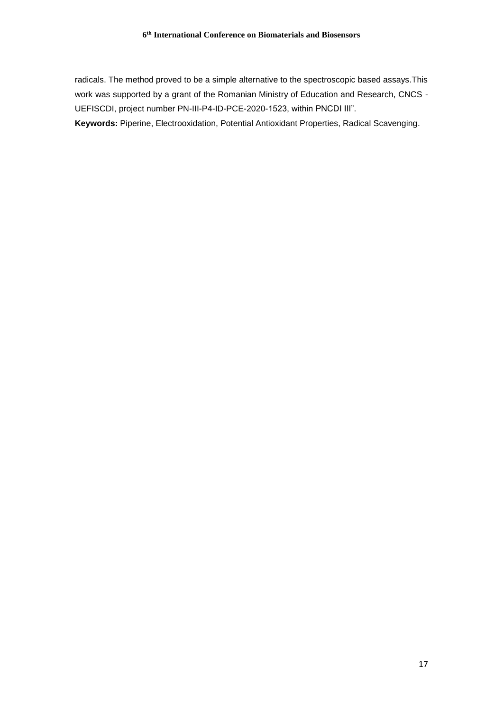radicals. The method proved to be a simple alternative to the spectroscopic based assays.This work was supported by a grant of the Romanian Ministry of Education and Research, CNCS - UEFISCDI, project number PN-III-P4-ID-PCE-2020-1523, within PNCDI III".

**Keywords:** Piperine, Electrooxidation, Potential Antioxidant Properties, Radical Scavenging.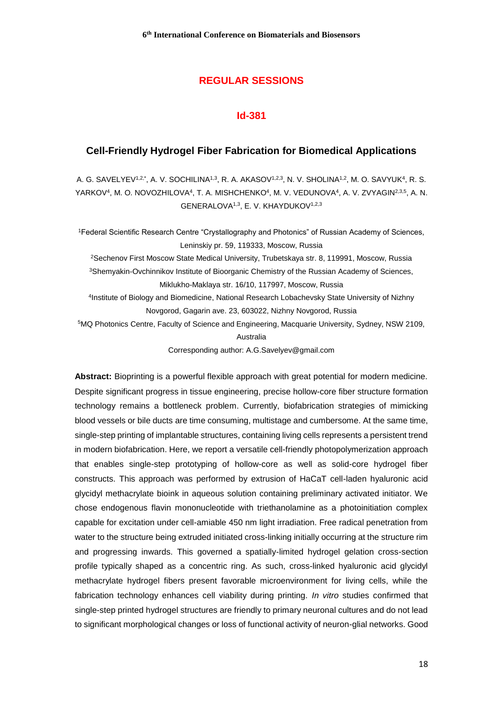## **REGULAR SESSIONS**

### **Id-381**

#### **Cell-Friendly Hydrogel Fiber Fabrication for Biomedical Applications**

A. G. SAVELYEV1.2.\*, A. V. SOCHILINA1.3, R. A. AKASOV1.2.3, N. V. SHOLINA1.2, M. O. SAVYUK<sup>4</sup>, R. S. YARKOV<sup>4</sup>, M. O. NOVOZHILOVA<sup>4</sup>, T. A. MISHCHENKO<sup>4</sup>, M. V. VEDUNOVA<sup>4</sup>, A. V. ZVYAGIN<sup>2,3,5</sup>, A. N. GENERALOVA<sup>1,3</sup>, E. V. KHAYDUKOV<sup>1,2,3</sup>

<sup>1</sup>Federal Scientific Research Centre "Crystallography and Photonics" of Russian Academy of Sciences, Leninskiy pr. 59, 119333, Moscow, Russia <sup>2</sup>Sechenov First Moscow State Medical University, Trubetskaya str. 8, 119991, Moscow, Russia <sup>3</sup>Shemyakin-Ovchinnikov Institute of Bioorganic Chemistry of the Russian Academy of Sciences, Miklukho-Maklaya str. 16/10, 117997, Moscow, Russia 4 Institute of Biology and Biomedicine, National Research Lobachevsky State University of Nizhny Novgorod, Gagarin ave. 23, 603022, Nizhny Novgorod, Russia <sup>5</sup>MQ Photonics Centre, Faculty of Science and Engineering, Macquarie University, Sydney, NSW 2109, Australia

Corresponding author: A.G.Savelyev@gmail.com

**Abstract:** Bioprinting is a powerful flexible approach with great potential for modern medicine. Despite significant progress in tissue engineering, precise hollow-core fiber structure formation technology remains a bottleneck problem. Currently, biofabrication strategies of mimicking blood vessels or bile ducts are time consuming, multistage and cumbersome. At the same time, single-step printing of implantable structures, containing living cells represents a persistent trend in modern biofabrication. Here, we report a versatile cell-friendly photopolymerization approach that enables single-step prototyping of hollow-core as well as solid-core hydrogel fiber constructs. This approach was performed by extrusion of HaCaT cell-laden hyaluronic acid glycidyl methacrylate bioink in aqueous solution containing preliminary activated initiator. We chose endogenous flavin mononucleotide with triethanolamine as a photoinitiation complex capable for excitation under cell-amiable 450 nm light irradiation. Free radical penetration from water to the structure being extruded initiated cross-linking initially occurring at the structure rim and progressing inwards. This governed a spatially-limited hydrogel gelation cross-section profile typically shaped as a concentric ring. As such, cross-linked hyaluronic acid glycidyl methacrylate hydrogel fibers present favorable microenvironment for living cells, while the fabrication technology enhances cell viability during printing. *In vitro* studies confirmed that single-step printed hydrogel structures are friendly to primary neuronal cultures and do not lead to significant morphological changes or loss of functional activity of neuron-glial networks. Good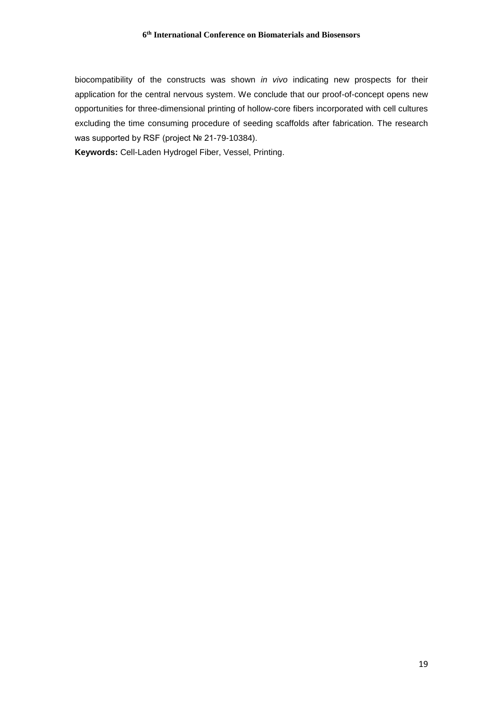biocompatibility of the constructs was shown *in vivo* indicating new prospects for their application for the central nervous system. We conclude that our proof-of-concept opens new opportunities for three-dimensional printing of hollow-core fibers incorporated with cell cultures excluding the time consuming procedure of seeding scaffolds after fabrication. The research was supported by RSF (project № 21-79-10384).

**Keywords:** Cell-Laden Hydrogel Fiber, Vessel, Printing.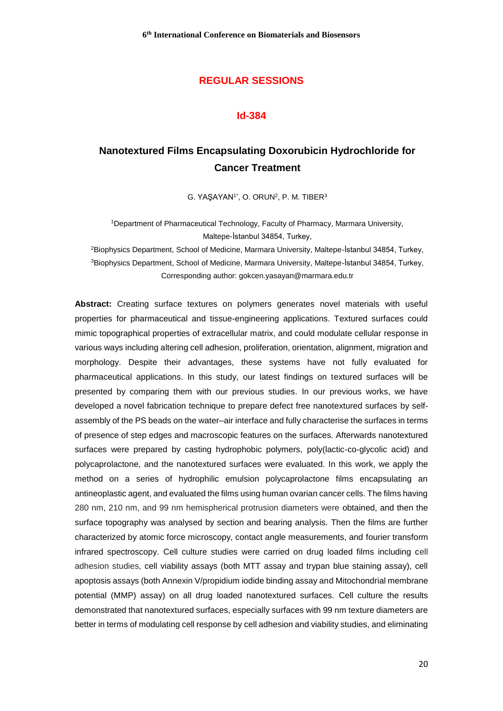## **REGULAR SESSIONS**

#### **Id-384**

# **Nanotextured Films Encapsulating Doxorubicin Hydrochloride for Cancer Treatment**

G. YAŞAYAN<sup>1\*</sup>, O. ORUN<sup>2</sup>, P. M. TIBER<sup>3</sup>

<sup>1</sup>Department of Pharmaceutical Technology, Faculty of Pharmacy, Marmara University, Maltepe-İstanbul 34854, Turkey,

<sup>2</sup>Biophysics Department, School of Medicine, Marmara University, Maltepe-İstanbul 34854, Turkey, <sup>3</sup>Biophysics Department, School of Medicine, Marmara University, Maltepe-İstanbul 34854, Turkey, Corresponding author: gokcen.yasayan@marmara.edu.tr

**Abstract:** Creating surface textures on polymers generates novel materials with useful properties for pharmaceutical and tissue-engineering applications. Textured surfaces could mimic topographical properties of extracellular matrix, and could modulate cellular response in various ways including altering cell adhesion, proliferation, orientation, alignment, migration and morphology. Despite their advantages, these systems have not fully evaluated for pharmaceutical applications. In this study, our latest findings on textured surfaces will be presented by comparing them with our previous studies. In our previous works, we have developed a novel fabrication technique to prepare defect free nanotextured surfaces by selfassembly of the PS beads on the water–air interface and fully characterise the surfaces in terms of presence of step edges and macroscopic features on the surfaces. Afterwards nanotextured surfaces were prepared by casting hydrophobic polymers, poly(lactic-co-glycolic acid) and polycaprolactone, and the nanotextured surfaces were evaluated. In this work, we apply the method on a series of hydrophilic emulsion polycaprolactone films encapsulating an antineoplastic agent, and evaluated the films using human ovarian cancer cells. The films having 280 nm, 210 nm, and 99 nm hemispherical protrusion diameters were obtained, and then the surface topography was analysed by section and bearing analysis. Then the films are further characterized by atomic force microscopy, contact angle measurements, and fourier transform infrared spectroscopy. Cell culture studies were carried on drug loaded films including cell adhesion studies, cell viability assays (both MTT assay and trypan blue staining assay), cell apoptosis assays (both Annexin V/propidium iodide binding assay and Mitochondrial membrane potential (MMP) assay) on all drug loaded nanotextured surfaces. Cell culture the results demonstrated that nanotextured surfaces, especially surfaces with 99 nm texture diameters are better in terms of modulating cell response by cell adhesion and viability studies, and eliminating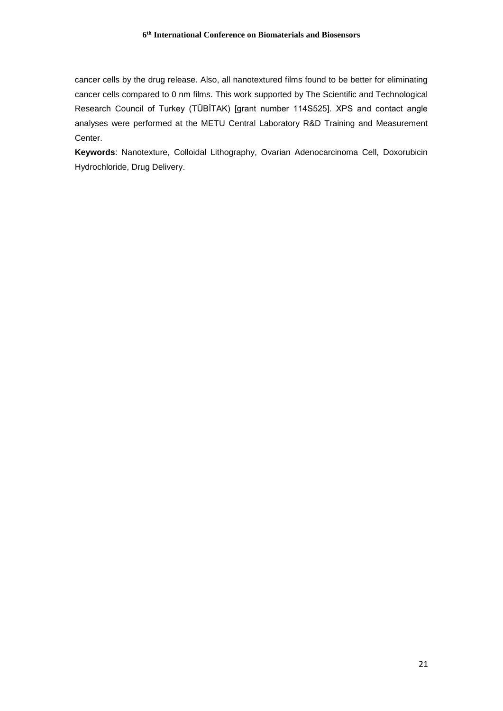cancer cells by the drug release. Also, all nanotextured films found to be better for eliminating cancer cells compared to 0 nm films. This work supported by The Scientific and Technological Research Council of Turkey (TÜBİTAK) [grant number 114S525]. XPS and contact angle analyses were performed at the METU Central Laboratory R&D Training and Measurement Center.

**Keywords**: Nanotexture, Colloidal Lithography, Ovarian Adenocarcinoma Cell, Doxorubicin Hydrochloride, Drug Delivery.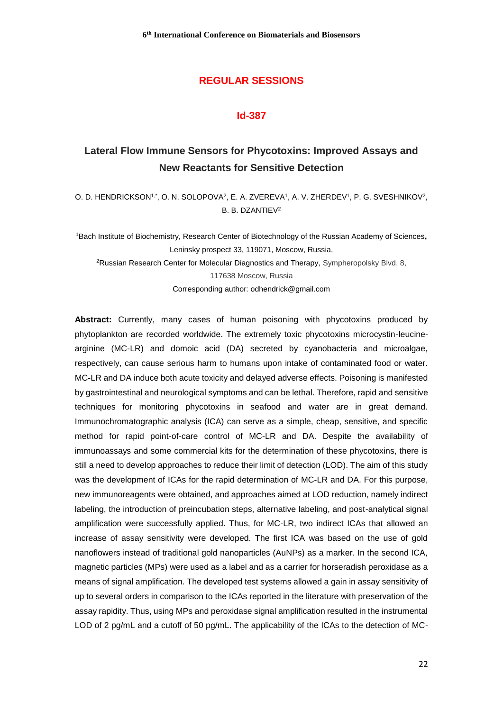## **REGULAR SESSIONS**

### **Id-387**

# **Lateral Flow Immune Sensors for Phycotoxins: Improved Assays and New Reactants for Sensitive Detection**

O. D. HENDRICKSON<sup>1,\*</sup>, O. N. SOLOPOVA<sup>2</sup>, E. A. ZVEREVA<sup>1</sup>, A. V. ZHERDEV<sup>1</sup>, P. G. SVESHNIKOV<sup>2</sup>, B. B. DZANTIEV<sup>2</sup>

<sup>1</sup>Bach Institute of Biochemistry, Research Center of Biotechnology of the Russian Academy of Sciences**,** Leninsky prospect 33, 119071, Moscow, Russia, <sup>2</sup>Russian Research Center for Molecular Diagnostics and Therapy, Sympheropolsky Blvd, 8, 117638 Moscow, Russia Corresponding author: odhendrick@gmail.com

**Abstract:** Currently, many cases of human poisoning with phycotoxins produced by phytoplankton are recorded worldwide. The extremely toxic phycotoxins microcystin-leucinearginine (MC-LR) and domoic acid (DA) secreted by cyanobacteria and microalgae, respectively, can cause serious harm to humans upon intake of contaminated food or water. MC-LR and DA induce both acute toxicity and delayed adverse effects. Poisoning is manifested by gastrointestinal and neurological symptoms and can be lethal. Therefore, rapid and sensitive techniques for monitoring phycotoxins in seafood and water are in great demand. Immunochromatographic analysis (ICA) can serve as a simple, cheap, sensitive, and specific method for rapid point-of-care control of MC-LR and DA. Despite the availability of immunoassays and some commercial kits for the determination of these phycotoxins, there is still a need to develop approaches to reduce their limit of detection (LOD). The aim of this study was the development of ICAs for the rapid determination of MC-LR and DA. For this purpose, new immunoreagents were obtained, and approaches aimed at LOD reduction, namely indirect labeling, the introduction of preincubation steps, alternative labeling, and post-analytical signal amplification were successfully applied. Thus, for MC-LR, two indirect ICAs that allowed an increase of assay sensitivity were developed. The first ICA was based on the use of gold nanoflowers instead of traditional gold nanoparticles (AuNPs) as a marker. In the second ICA, magnetic particles (MPs) were used as a label and as a carrier for horseradish peroxidase as a means of signal amplification. The developed test systems allowed a gain in assay sensitivity of up to several orders in comparison to the ICAs reported in the literature with preservation of the assay rapidity. Thus, using MPs and peroxidase signal amplification resulted in the instrumental LOD of 2 pg/mL and a cutoff of 50 pg/mL. The applicability of the ICAs to the detection of MC-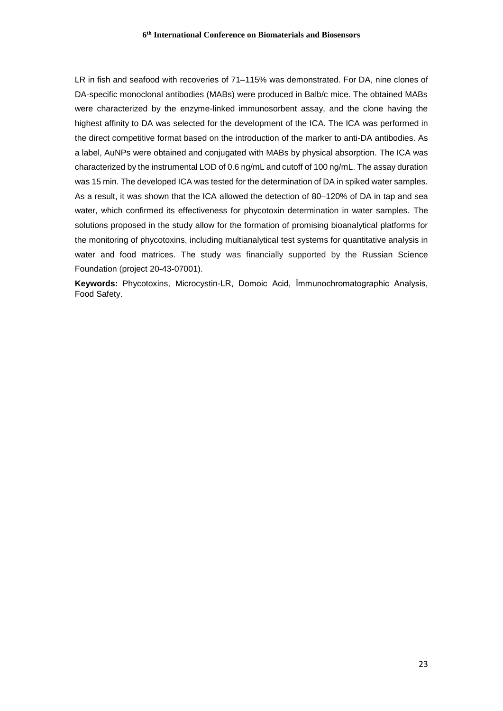LR in fish and seafood with recoveries of 71–115% was demonstrated. For DA, nine clones of DA-specific monoclonal antibodies (MABs) were produced in Balb/c mice. The obtained MABs were characterized by the enzyme-linked immunosorbent assay, and the clone having the highest affinity to DA was selected for the development of the ICA. The ICA was performed in the direct competitive format based on the introduction of the marker to anti-DA antibodies. As a label, AuNPs were obtained and conjugated with MABs by physical absorption. The ICA was characterized by the instrumental LOD of 0.6 ng/mL and cutoff of 100 ng/mL. The assay duration was 15 min. The developed ICA was tested for the determination of DA in spiked water samples. As a result, it was shown that the ICA allowed the detection of 80–120% of DA in tap and sea water, which confirmed its effectiveness for phycotoxin determination in water samples. The solutions proposed in the study allow for the formation of promising bioanalytical platforms for the monitoring of phycotoxins, including multianalytical test systems for quantitative analysis in water and food matrices. The study was financially supported by the Russian Science Foundation (project 20-43-07001).

**Keywords:** Phycotoxins, Microcystin-LR, Domoic Acid, İmmunochromatographic Analysis, Food Safety.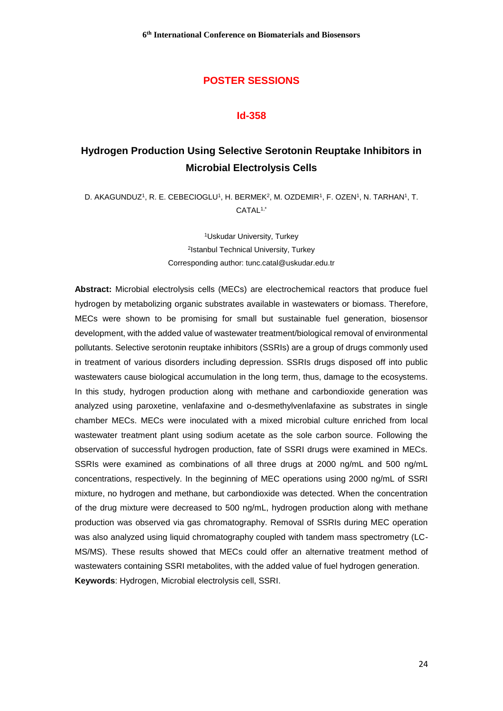#### **Id-358**

# **Hydrogen Production Using Selective Serotonin Reuptake Inhibitors in Microbial Electrolysis Cells**

D. AKAGUNDUZ<sup>1</sup>, R. E. CEBECIOGLU<sup>1</sup>, H. BERMEK<sup>2</sup>, M. OZDEMIR<sup>1</sup>, F. OZEN<sup>1</sup>, N. TARHAN<sup>1</sup>, T. CATAL1,\*

> <sup>1</sup>Uskudar University, Turkey 2 Istanbul Technical University, Turkey Corresponding author: tunc.catal@uskudar.edu.tr

**Abstract:** Microbial electrolysis cells (MECs) are electrochemical reactors that produce fuel hydrogen by metabolizing organic substrates available in wastewaters or biomass. Therefore, MECs were shown to be promising for small but sustainable fuel generation, biosensor development, with the added value of wastewater treatment/biological removal of environmental pollutants. Selective serotonin reuptake inhibitors (SSRIs) are a group of drugs commonly used in treatment of various disorders including depression. SSRIs drugs disposed off into public wastewaters cause biological accumulation in the long term, thus, damage to the ecosystems. In this study, hydrogen production along with methane and carbondioxide generation was analyzed using paroxetine, venlafaxine and o-desmethylvenlafaxine as substrates in single chamber MECs. MECs were inoculated with a mixed microbial culture enriched from local wastewater treatment plant using sodium acetate as the sole carbon source. Following the observation of successful hydrogen production, fate of SSRI drugs were examined in MECs. SSRIs were examined as combinations of all three drugs at 2000 ng/mL and 500 ng/mL concentrations, respectively. In the beginning of MEC operations using 2000 ng/mL of SSRI mixture, no hydrogen and methane, but carbondioxide was detected. When the concentration of the drug mixture were decreased to 500 ng/mL, hydrogen production along with methane production was observed via gas chromatography. Removal of SSRIs during MEC operation was also analyzed using liquid chromatography coupled with tandem mass spectrometry (LC-MS/MS). These results showed that MECs could offer an alternative treatment method of wastewaters containing SSRI metabolites, with the added value of fuel hydrogen generation. **Keywords**: Hydrogen, Microbial electrolysis cell, SSRI.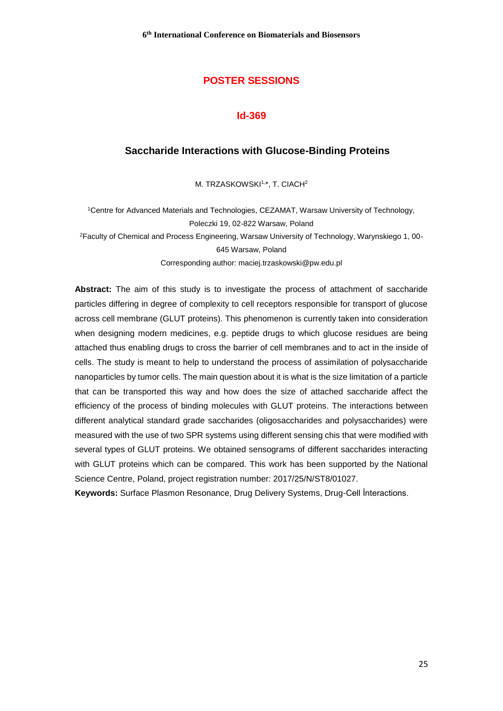#### **Id-369**

#### **Saccharide Interactions with Glucose-Binding Proteins**

M. TRZASKOWSKI<sup>1,\*</sup>, T. CIACH<sup>2</sup>

<sup>1</sup>Centre for Advanced Materials and Technologies, CEZAMAT, Warsaw University of Technology, Poleczki 19, 02-822 Warsaw, Poland <sup>2</sup>Faculty of Chemical and Process Engineering, Warsaw University of Technology, Warynskiego 1, 00- 645 Warsaw, Poland Corresponding author: maciej.trzaskowski@pw.edu.pl

**Abstract:** The aim of this study is to investigate the process of attachment of saccharide particles differing in degree of complexity to cell receptors responsible for transport of glucose across cell membrane (GLUT proteins). This phenomenon is currently taken into consideration when designing modern medicines, e.g. peptide drugs to which glucose residues are being attached thus enabling drugs to cross the barrier of cell membranes and to act in the inside of cells. The study is meant to help to understand the process of assimilation of polysaccharide nanoparticles by tumor cells. The main question about it is what is the size limitation of a particle that can be transported this way and how does the size of attached saccharide affect the efficiency of the process of binding molecules with GLUT proteins. The interactions between different analytical standard grade saccharides (oligosaccharides and polysaccharides) were measured with the use of two SPR systems using different sensing chis that were modified with several types of GLUT proteins. We obtained sensograms of different saccharides interacting with GLUT proteins which can be compared. This work has been supported by the National Science Centre, Poland, project registration number: 2017/25/N/ST8/01027.

**Keywords:** Surface Plasmon Resonance, Drug Delivery Systems, Drug-Cell İnteractions.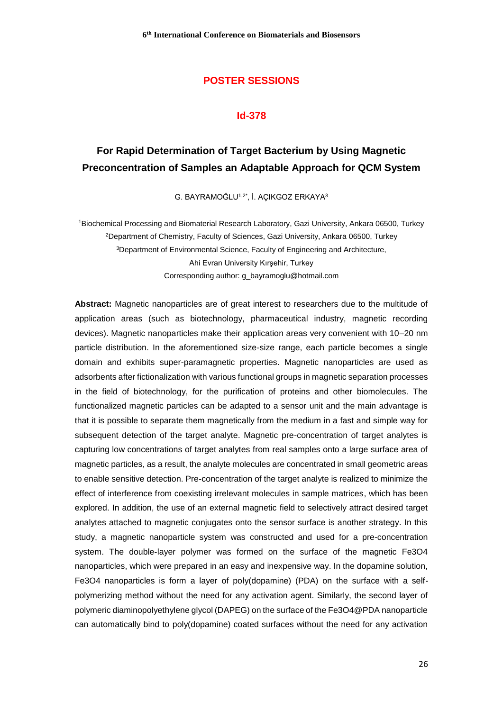#### **Id-378**

# **For Rapid Determination of Target Bacterium by Using Magnetic Preconcentration of Samples an Adaptable Approach for QCM System**

G. BAYRAMOĞLU1,2\*, İ. AÇIKGOZ ERKAYA<sup>3</sup>

<sup>1</sup>Biochemical Processing and Biomaterial Research Laboratory, Gazi University, Ankara 06500, Turkey <sup>2</sup>Department of Chemistry, Faculty of Sciences, Gazi University, Ankara 06500, Turkey <sup>3</sup>Department of Environmental Science, Faculty of Engineering and Architecture, Ahi Evran University Kırşehir, Turkey Corresponding author: g\_bayramoglu@hotmail.com

**Abstract:** Magnetic nanoparticles are of great interest to researchers due to the multitude of application areas (such as biotechnology, pharmaceutical industry, magnetic recording devices). Magnetic nanoparticles make their application areas very convenient with 10–20 nm particle distribution. In the aforementioned size-size range, each particle becomes a single domain and exhibits super-paramagnetic properties. Magnetic nanoparticles are used as adsorbents after fictionalization with various functional groups in magnetic separation processes in the field of biotechnology, for the purification of proteins and other biomolecules. The functionalized magnetic particles can be adapted to a sensor unit and the main advantage is that it is possible to separate them magnetically from the medium in a fast and simple way for subsequent detection of the target analyte. Magnetic pre-concentration of target analytes is capturing low concentrations of target analytes from real samples onto a large surface area of magnetic particles, as a result, the analyte molecules are concentrated in small geometric areas to enable sensitive detection. Pre-concentration of the target analyte is realized to minimize the effect of interference from coexisting irrelevant molecules in sample matrices, which has been explored. In addition, the use of an external magnetic field to selectively attract desired target analytes attached to magnetic conjugates onto the sensor surface is another strategy. In this study, a magnetic nanoparticle system was constructed and used for a pre-concentration system. The double-layer polymer was formed on the surface of the magnetic Fe3O4 nanoparticles, which were prepared in an easy and inexpensive way. In the dopamine solution, Fe3O4 nanoparticles is form a layer of poly(dopamine) (PDA) on the surface with a selfpolymerizing method without the need for any activation agent. Similarly, the second layer of polymeric diaminopolyethylene glycol (DAPEG) on the surface of the Fe3O4@PDA nanoparticle can automatically bind to poly(dopamine) coated surfaces without the need for any activation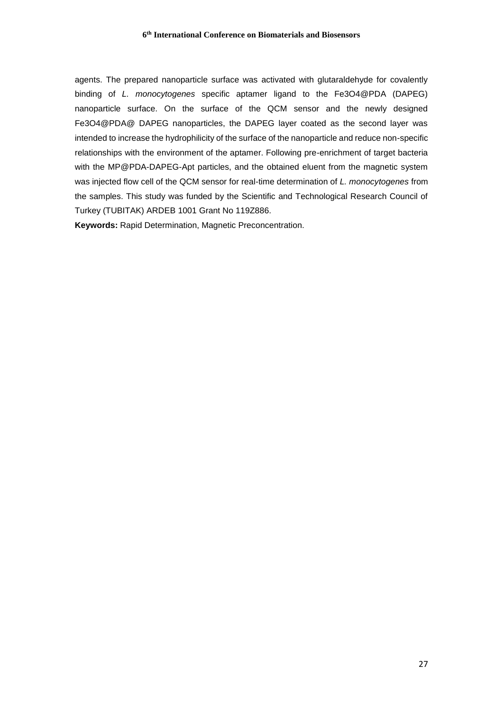agents. The prepared nanoparticle surface was activated with glutaraldehyde for covalently binding of *L. monocytogenes* specific aptamer ligand to the Fe3O4@PDA (DAPEG) nanoparticle surface. On the surface of the QCM sensor and the newly designed Fe3O4@PDA@ DAPEG nanoparticles, the DAPEG layer coated as the second layer was intended to increase the hydrophilicity of the surface of the nanoparticle and reduce non-specific relationships with the environment of the aptamer. Following pre-enrichment of target bacteria with the MP@PDA-DAPEG-Apt particles, and the obtained eluent from the magnetic system was injected flow cell of the QCM sensor for real-time determination of *L. monocytogenes* from the samples. This study was funded by the Scientific and Technological Research Council of Turkey (TUBITAK) ARDEB 1001 Grant No 119Z886.

**Keywords:** Rapid Determination, Magnetic Preconcentration.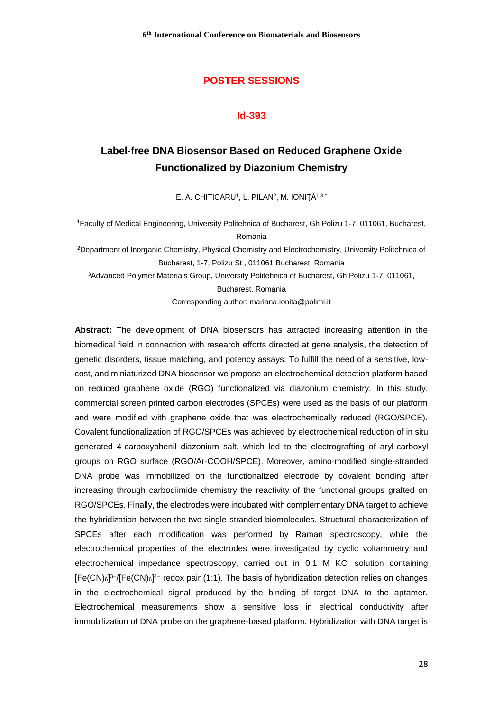#### **Id-393**

# **Label-free DNA Biosensor Based on Reduced Graphene Oxide Functionalized by Diazonium Chemistry**

E. A. CHITICARU<sup>1</sup>, L. PILAN<sup>2</sup>, M. IONIȚĂ<sup>1,3,\*</sup>

<sup>1</sup>Faculty of Medical Engineering, University Politehnica of Bucharest, Gh Polizu 1-7, 011061, Bucharest, Romania

<sup>2</sup>Department of Inorganic Chemistry, Physical Chemistry and Electrochemistry, University Politehnica of Bucharest, 1-7, Polizu St., 011061 Bucharest, Romania

<sup>3</sup>Advanced Polymer Materials Group, University Politehnica of Bucharest, Gh Polizu 1-7, 011061,

Bucharest, Romania

Corresponding author: mariana.ionita@polimi.it

**Abstract:** The development of DNA biosensors has attracted increasing attention in the biomedical field in connection with research efforts directed at gene analysis, the detection of genetic disorders, tissue matching, and potency assays. To fulfill the need of a sensitive, lowcost, and miniaturized DNA biosensor we propose an electrochemical detection platform based on reduced graphene oxide (RGO) functionalized via diazonium chemistry. In this study, commercial screen printed carbon electrodes (SPCEs) were used as the basis of our platform and were modified with graphene oxide that was electrochemically reduced (RGO/SPCE). Covalent functionalization of RGO/SPCEs was achieved by electrochemical reduction of in situ generated 4-carboxyphenil diazonium salt, which led to the electrografting of aryl-carboxyl groups on RGO surface (RGO/Ar-COOH/SPCE). Moreover, amino-modified single-stranded DNA probe was immobilized on the functionalized electrode by covalent bonding after increasing through carbodiimide chemistry the reactivity of the functional groups grafted on RGO/SPCEs. Finally, the electrodes were incubated with complementary DNA target to achieve the hybridization between the two single-stranded biomolecules. Structural characterization of SPCEs after each modification was performed by Raman spectroscopy, while the electrochemical properties of the electrodes were investigated by cyclic voltammetry and electrochemical impedance spectroscopy, carried out in 0.1 M KCl solution containing  $[Fe(CN)<sub>6</sub>]$ <sup>3-</sup>/[Fe(CN)<sub>6</sub>]<sup>4-</sup> redox pair (1:1). The basis of hybridization detection relies on changes in the electrochemical signal produced by the binding of target DNA to the aptamer. Electrochemical measurements show a sensitive loss in electrical conductivity after immobilization of DNA probe on the graphene-based platform. Hybridization with DNA target is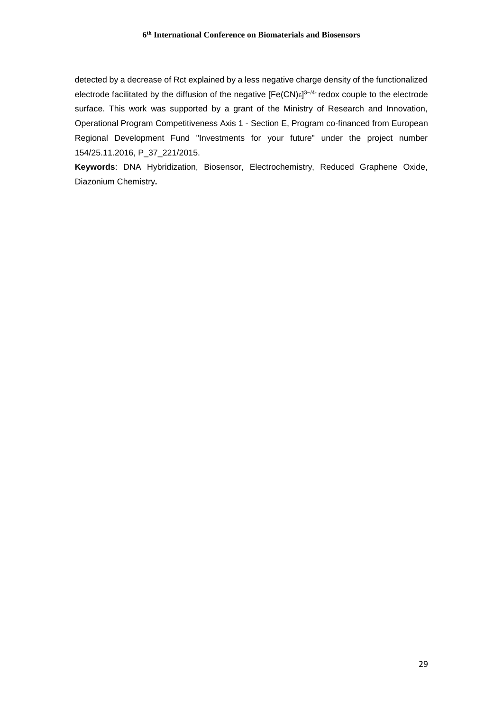detected by a decrease of Rct explained by a less negative charge density of the functionalized electrode facilitated by the diffusion of the negative  $[Fe(CN)_6]^{3-/4}$  redox couple to the electrode surface. This work was supported by a grant of the Ministry of Research and Innovation, Operational Program Competitiveness Axis 1 - Section E, Program co-financed from European Regional Development Fund "Investments for your future" under the project number 154/25.11.2016, P\_37\_221/2015.

**Keywords**: DNA Hybridization, Biosensor, Electrochemistry, Reduced Graphene Oxide, Diazonium Chemistry**.**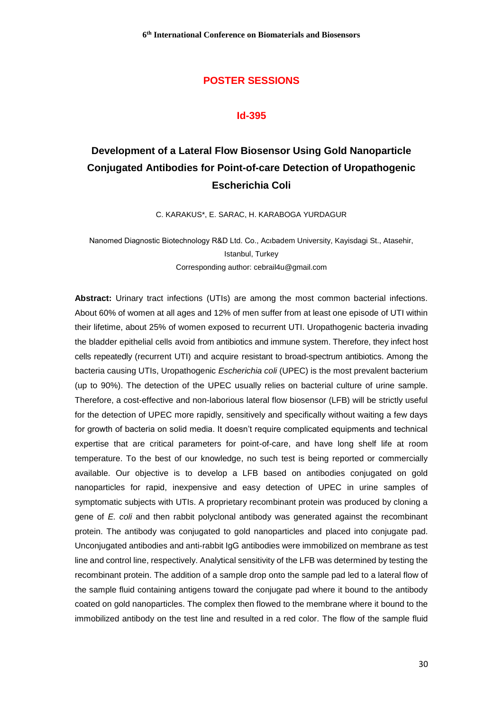#### **Id-395**

# **Development of a Lateral Flow Biosensor Using Gold Nanoparticle Conjugated Antibodies for Point-of-care Detection of Uropathogenic Escherichia Coli**

C. KARAKUS\*, E. SARAC, H. KARABOGA YURDAGUR

Nanomed Diagnostic Biotechnology R&D Ltd. Co., Acıbadem University, Kayisdagi St., Atasehir, Istanbul, Turkey Corresponding author: cebrail4u@gmail.com

**Abstract:** Urinary tract infections (UTIs) are among the most common bacterial infections. About 60% of women at all ages and 12% of men suffer from at least one episode of UTI within their lifetime, about 25% of women exposed to recurrent UTI. Uropathogenic bacteria invading the bladder epithelial cells avoid from antibiotics and immune system. Therefore, they infect host cells repeatedly (recurrent UTI) and acquire resistant to broad-spectrum antibiotics. Among the bacteria causing UTIs, Uropathogenic *Escherichia coli* (UPEC) is the most prevalent bacterium (up to 90%). The detection of the UPEC usually relies on bacterial culture of urine sample. Therefore, a cost-effective and non-laborious lateral flow biosensor (LFB) will be strictly useful for the detection of UPEC more rapidly, sensitively and specifically without waiting a few days for growth of bacteria on solid media. It doesn't require complicated equipments and technical expertise that are critical parameters for point-of-care, and have long shelf life at room temperature. To the best of our knowledge, no such test is being reported or commercially available. Our objective is to develop a LFB based on antibodies conjugated on gold nanoparticles for rapid, inexpensive and easy detection of UPEC in urine samples of symptomatic subjects with UTIs. A proprietary recombinant protein was produced by cloning a gene of *E. coli* and then rabbit polyclonal antibody was generated against the recombinant protein. The antibody was conjugated to gold nanoparticles and placed into conjugate pad. Unconjugated antibodies and anti-rabbit IgG antibodies were immobilized on membrane as test line and control line, respectively. Analytical sensitivity of the LFB was determined by testing the recombinant protein. The addition of a sample drop onto the sample pad led to a lateral flow of the sample fluid containing antigens toward the conjugate pad where it bound to the antibody coated on gold nanoparticles. The complex then flowed to the membrane where it bound to the immobilized antibody on the test line and resulted in a red color. The flow of the sample fluid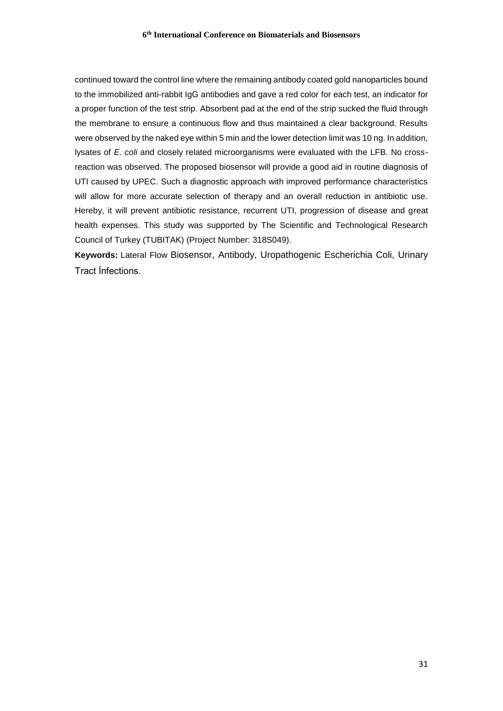continued toward the control line where the remaining antibody coated gold nanoparticles bound to the immobilized anti-rabbit IgG antibodies and gave a red color for each test, an indicator for a proper function of the test strip. Absorbent pad at the end of the strip sucked the fluid through the membrane to ensure a continuous flow and thus maintained a clear background. Results were observed by the naked eye within 5 min and the lower detection limit was 10 ng. In addition, lysates of *E. coli* and closely related microorganisms were evaluated with the LFB. No crossreaction was observed. The proposed biosensor will provide a good aid in routine diagnosis of UTI caused by UPEC. Such a diagnostic approach with improved performance characteristics will allow for more accurate selection of therapy and an overall reduction in antibiotic use. Hereby, it will prevent antibiotic resistance, recurrent UTI, progression of disease and great health expenses. This study was supported by The Scientific and Technological Research Council of Turkey (TUBITAK) (Project Number: 318S049).

**Keywords:** Lateral Flow Biosensor, Antibody, Uropathogenic Escherichia Coli, Urinary Tract İnfections.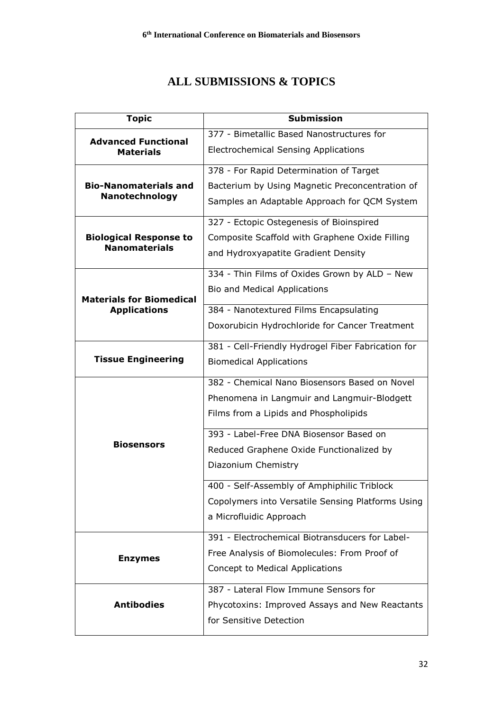# **ALL SUBMISSIONS & TOPICS**

| <b>Topic</b>                                           | <b>Submission</b>                                  |
|--------------------------------------------------------|----------------------------------------------------|
| <b>Advanced Functional</b><br><b>Materials</b>         | 377 - Bimetallic Based Nanostructures for          |
|                                                        | <b>Electrochemical Sensing Applications</b>        |
| <b>Bio-Nanomaterials and</b><br>Nanotechnology         | 378 - For Rapid Determination of Target            |
|                                                        | Bacterium by Using Magnetic Preconcentration of    |
|                                                        | Samples an Adaptable Approach for QCM System       |
|                                                        | 327 - Ectopic Ostegenesis of Bioinspired           |
| <b>Biological Response to</b><br><b>Nanomaterials</b>  | Composite Scaffold with Graphene Oxide Filling     |
|                                                        | and Hydroxyapatite Gradient Density                |
|                                                        | 334 - Thin Films of Oxides Grown by ALD - New      |
| <b>Materials for Biomedical</b><br><b>Applications</b> | Bio and Medical Applications                       |
|                                                        | 384 - Nanotextured Films Encapsulating             |
|                                                        | Doxorubicin Hydrochloride for Cancer Treatment     |
| <b>Tissue Engineering</b>                              | 381 - Cell-Friendly Hydrogel Fiber Fabrication for |
|                                                        | <b>Biomedical Applications</b>                     |
|                                                        | 382 - Chemical Nano Biosensors Based on Novel      |
|                                                        | Phenomena in Langmuir and Langmuir-Blodgett        |
|                                                        | Films from a Lipids and Phospholipids              |
|                                                        | 393 - Label-Free DNA Biosensor Based on            |
| <b>Biosensors</b>                                      | Reduced Graphene Oxide Functionalized by           |
|                                                        | Diazonium Chemistry                                |
|                                                        | 400 - Self-Assembly of Amphiphilic Triblock        |
|                                                        | Copolymers into Versatile Sensing Platforms Using  |
|                                                        | a Microfluidic Approach                            |
|                                                        | 391 - Electrochemical Biotransducers for Label-    |
| <b>Enzymes</b>                                         | Free Analysis of Biomolecules: From Proof of       |
|                                                        | Concept to Medical Applications                    |
| <b>Antibodies</b>                                      | 387 - Lateral Flow Immune Sensors for              |
|                                                        | Phycotoxins: Improved Assays and New Reactants     |
|                                                        | for Sensitive Detection                            |
|                                                        |                                                    |